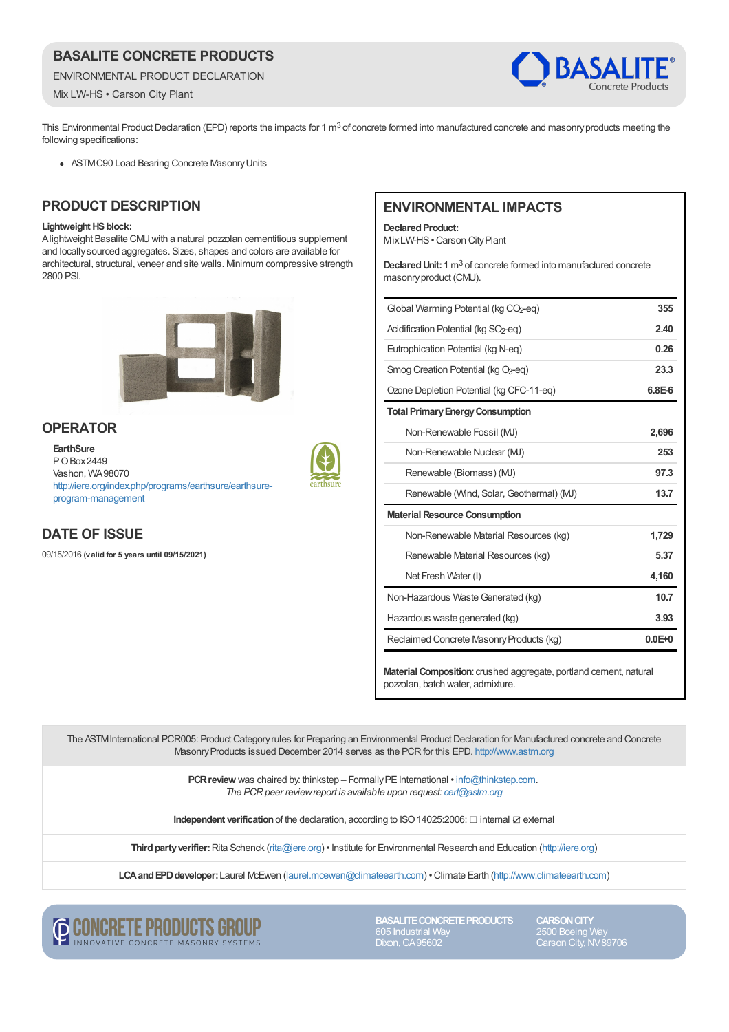# **BASALITE CONCRETE PRODUCTS**

ENVIRONMENTAL PRODUCT DECLARATION

Mix LW-HS • Carson City Plant



This Environmental Product Declaration (EPD) reports the impacts for 1 m<sup>3</sup> of concrete formed into manufactured concrete and masonry products meeting the following specifications:

ASTMC90 Load Bearing Concrete MasonryUnits

### **PRODUCT DESCRIPTION**

#### **Lightweight HS block:**

Alightweight Basalite CMUwith a natural pozzolan cementitious supplement and locally sourced aggregates. Sizes, shapes and colors are available for architectural, structural, veneer and site walls. Minimum compressive strength 2800 PSI.



### **OPERATOR**

**EarthSure** POBox2449 Vashon, WA98070 [http://iere.org/index.php/programs/earthsure/earthsure](http://iere.org/index.php/programs/earthsure/earthsure-program-management)program-management



# **DATE OF ISSUE**

09/15/2016 **(valid for 5 years until 09/15/2021)**

# **ENVIRONMENTAL IMPACTS**

**Declared Product:** MixLW-HS•Carson CityPlant

Declared Unit: 1 m<sup>3</sup> of concrete formed into manufactured concrete masonry product (CMU).

| Global Warming Potential (kg CO2-eq)               | 355        |
|----------------------------------------------------|------------|
| Acidification Potential (kg SO <sub>2</sub> -eg)   | 2.40       |
| Eutrophication Potential (kg N-eg)                 | 0.26       |
| Smog Creation Potential ( $kq$ O <sub>3</sub> -eq) | 23.3       |
| Ozone Depletion Potential (kg CFC-11-eg)           | $6.8E-6$   |
| <b>Total Primary Energy Consumption</b>            |            |
| Non-Renewable Fossil (MJ)                          | 2,696      |
| Non-Renewable Nuclear (MJ)                         | 253        |
| Renewable (Biomass) (MJ)                           | 97.3       |
| Renewable (Wind, Solar, Geothermal) (MJ)           | 13.7       |
| <b>Material Resource Consumption</b>               |            |
| Non-Renewable Material Resources (kg)              | 1,729      |
| Renewable Material Resources (kg)                  | 5.37       |
| Net Fresh Water (I)                                | 4,160      |
| Non-Hazardous Waste Generated (kg)                 | 10.7       |
| Hazardous waste generated (kg)                     | 3.93       |
| Reclaimed Concrete Masonry Products (kg)           | $0.0E + 0$ |
|                                                    |            |

**Material Composition:** crushed aggregate, portland cement, natural pozzolan, batch water, admixture.

The ASTM International PCR005: Product Category rules for Preparing an Environmental Product Declaration for Manufactured concrete and Concrete MasonryProducts issued December 2014 serves as the PCRfor this EPD. <http://www.astm.org>

> **PCR review** was chaired by: thinkstep – Formally PE International • [info@thinkstep.com](mailto:info@thinkstep.com). *The PCRpeer reviewreport is available upon request: [cert@astm.org](mailto:cert@astm.org)*

**Independent verification**of the declaration, according to ISO14025:2006: ☐ internal ☑ external

**Thirdpartyverifier:**Rita Schenck [\(rita@iere.org](mailto:rita@iere.org)) • Institute for Environmental Research and Education [\(http://iere.org](http://iere.org))

**LCAandEPDdeveloper:**Laurel McEwen [\(laurel.mcewen@climateearth.com](mailto:laurel.mcewen@climateearth.com)) •Climate Earth [\(http://www.climateearth.com](http://www.climateearth.com))



**BASALITE CONCRETE PRODUCTS** Dixon, CA95602

**CARSON CITY** 2500 Boeing Way Carson City, NV89706